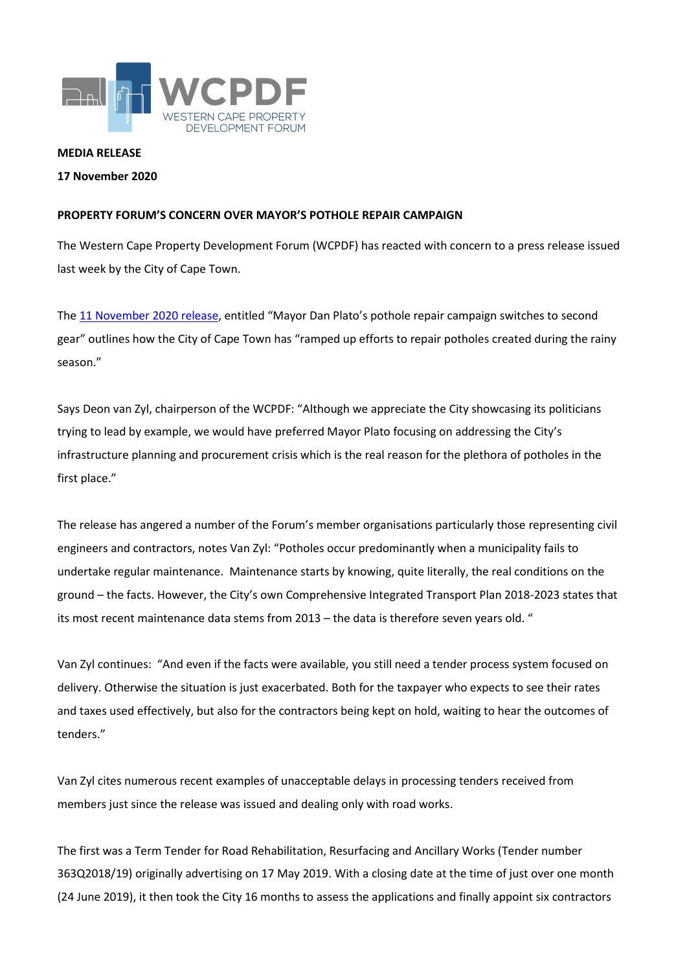

## **MEDIA RELEASE**

## **17 November 2020**

## **PROPERTY FORUM'S CONCERN OVER MAYOR'S POTHOLE REPAIR CAMPAIGN**

The Western Cape Property Development Forum (WCPDF) has reacted with concern to a press release issued last week by the City of Cape Town.

The [11 November 2020](http://www.capetown.gov.za/Media-and-news/Mayor%20Dan%20Plato) release, entitled "Mayor Dan Plato's pothole repair campaign switches to second gear" outlines how the City of Cape Town has "ramped up efforts to repair potholes created during the rainy season."

Says Deon van Zyl, chairperson of the WCPDF: "Although we appreciate the City showcasing its politicians trying to lead by example, we would have preferred Mayor Plato focusing on addressing the City's infrastructure planning and procurement crisis which is the real reason for the plethora of potholes in the first place."

The release has angered a number of the Forum's member organisations particularly those representing civil engineers and contractors, notes Van Zyl: "Potholes occur predominantly when a municipality fails to undertake regular maintenance. Maintenance starts by knowing, quite literally, the real conditions on the ground – the facts. However, the City's own Comprehensive Integrated Transport Plan 2018-2023 states that its most recent maintenance data stems from 2013 – the data is therefore seven years old. "

Van Zyl continues: "And even if the facts were available, you still need a tender process system focused on delivery. Otherwise the situation is just exacerbated. Both for the taxpayer who expects to see their rates and taxes used effectively, but also for the contractors being kept on hold, waiting to hear the outcomes of tenders."

Van Zyl cites numerous recent examples of unacceptable delays in processing tenders received from members just since the release was issued and dealing only with road works.

The first was a Term Tender for Road Rehabilitation, Resurfacing and Ancillary Works (Tender number 363Q2018/19) originally advertising on 17 May 2019. With a closing date at the time of just over one month (24 June 2019), it then took the City 16 months to assess the applications and finally appoint six contractors